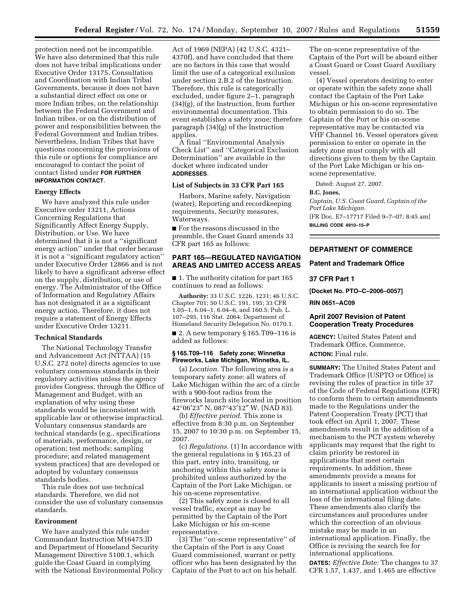protection need not be incompatible. We have also determined that this rule does not have tribal implications under Executive Order 13175, Consultation and Coordination with Indian Tribal Governments, because it does not have a substantial direct effect on one or more Indian tribes, on the relationship between the Federal Government and Indian tribes, or on the distribution of power and responsibilities between the Federal Government and Indian tribes. Nevertheless, Indian Tribes that have questions concerning the provisions of this rule or options for compliance are encouraged to contact the point of contact listed under **FOR FURTHER INFORMATION CONTACT**.

## **Energy Effects**

We have analyzed this rule under Executive order 13211, Actions Concerning Regulations that Significantly Affect Energy Supply, Distribution, or Use. We have determined that it is not a ''significant energy action'' under that order because it is not a ''significant regulatory action'' under Executive Order 12866 and is not likely to have a significant adverse effect on the supply, distribution, or use of energy. The Administrator of the Office of Information and Regulatory Affairs has not designated it as a significant energy action. Therefore, it does not require a statement of Energy Effects under Executive Order 13211.

## **Technical Standards**

The National Technology Transfer and Advancement Act (NTTAA) (15 U.S.C. 272 note) directs agencies to use voluntary consensus standards in their regulatory activities unless the agency provides Congress, through the Office of Management and Budget, with an explanation of why using these standards would be inconsistent with applicable law or otherwise impractical. Voluntary consensus standards are technical standards (e.g., specifications of materials, performance, design, or operation; test methods; sampling procedure; and related management system practices) that are developed or adopted by voluntary consensus standards bodies.

This rule does not use technical standards. Therefore, we did not consider the use of voluntary consensus standards.

### **Environment**

We have analyzed this rule under Commandant Instruction M16475.lD and Department of Homeland Security Management Directive 5100.1, which guide the Coast Guard in complying with the National Environmental Policy

Act of 1969 (NEPA) (42 U.S.C. 4321– 4370f), and have concluded that there are no factors in this case that would limit the use of a categorical exclusion under section 2.B.2 of the Instruction. Therefore, this rule is categorically excluded, under figure 2–1, paragraph (34)(g), of the Instruction, from further environmental documentation. This event establishes a safety zone; therefore paragraph (34)(g) of the Instruction applies.

A final ''Environmental Analysis Check List'' and ''Categorical Exclusion Determination'' are available in the docket where indicated under **ADDRESSES**.

### **List of Subjects in 33 CFR Part 165**

Harbors, Marine safety, Navigation (water), Reporting and recordkeeping requirements, Security measures, Waterways.

■ For the reasons discussed in the preamble, the Coast Guard amends 33 CFR part 165 as follows:

## **PART 165—REGULATED NAVIGATION AREAS AND LIMITED ACCESS AREAS**

■ 1. The authority citation for part 165 continues to read as follows:

**Authority:** 33 U.S.C. 1226, 1231; 46 U.S.C. Chapter 701; 50 U.S.C. 191, 195; 33 CFR 1.05–1, 6.04–1, 6.04–6, and 160.5; Pub. L. 107–295, 116 Stat. 2064; Department of Homeland Security Delegation No. 0170.1.

■ 2. A new temporary § 165.T09–116 is added as follows:

## **§ 165.T09–116 Safety zone; Winnetka Fireworks, Lake Michigan, Winnetka, IL.**

(a) *Location.* The following area is a temporary safety zone: all waters of Lake Michigan within the arc of a circle with a 900-foot radius from the fireworks launch site located in position 42°06′23″ N, 087°43′12″ W. (NAD 83).

(b) *Effective period.* This zone is effective from 8:30 p.m. on September 15, 2007 to 10:30 p.m. on September 15, 2007.

(c) *Regulations.* (1) In accordance with the general regulations in § 165.23 of this part, entry into, transiting, or anchoring within this safety zone is prohibited unless authorized by the Captain of the Port Lake Michigan, or his on-scene representative.

(2) This safety zone is closed to all vessel traffic, except as may be permitted by the Captain of the Port Lake Michigan or his on-scene representative.

(3) The ''on-scene representative'' of the Captain of the Port is any Coast Guard commissioned, warrant or petty officer who has been designated by the Captain of the Port to act on his behalf.

The on-scene representative of the Captain of the Port will be aboard either a Coast Guard or Coast Guard Auxiliary vessel.

(4) Vessel operators desiring to enter or operate within the safety zone shall contact the Captain of the Port Lake Michigan or his on-scene representative to obtain permission to do so. The Captain of the Port or his on-scene representative may be contacted via VHF Channel 16. Vessel operators given permission to enter or operate in the safety zone must comply with all directions given to them by the Captain of the Port Lake Michigan or his onscene representative.

Dated: August 27, 2007.

#### **B.C. Jones,**

*Captain, U.S. Coast Guard, Captain of the Port Lake Michigan.*  [FR Doc. E7–17717 Filed 9–7–07; 8:45 am]

**BILLING CODE 4910–15–P** 

## **DEPARTMENT OF COMMERCE**

## **Patent and Trademark Office**

### **37 CFR Part 1**

**[Docket No. PTO–C–2006–0057]** 

**RIN 0651–AC09** 

## **April 2007 Revision of Patent Cooperation Treaty Procedures**

**AGENCY:** United States Patent and Trademark Office, Commerce. **ACTION:** Final rule.

**SUMMARY:** The United States Patent and Trademark Office (USPTO or Office) is revising the rules of practice in title 37 of the Code of Federal Regulations (CFR) to conform them to certain amendments made to the Regulations under the Patent Cooperation Treaty (PCT) that took effect on April 1, 2007. These amendments result in the addition of a mechanism to the PCT system whereby applicants may request that the right to claim priority be restored in applications that meet certain requirements. In addition, these amendments provide a means for applicants to insert a missing portion of an international application without the loss of the international filing date. These amendments also clarify the circumstances and procedures under which the correction of an obvious mistake may be made in an international application. Finally, the Office is revising the search fee for international applications.

**DATES:** *Effective Date:* The changes to 37 CFR 1.57, 1.437, and 1.465 are effective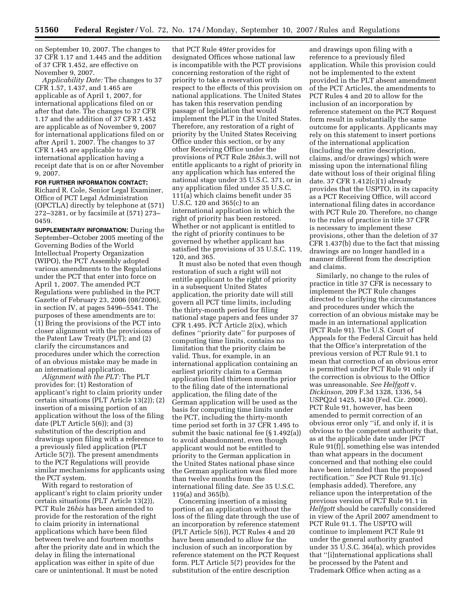on September 10, 2007. The changes to 37 CFR 1.17 and 1.445 and the addition of 37 CFR 1.452, are effective on November 9, 2007.

*Applicability Date:* The changes to 37 CFR 1.57, 1.437, and 1.465 are applicable as of April 1, 2007, for international applications filed on or after that date. The changes to 37 CFR 1.17 and the addition of 37 CFR 1.452 are applicable as of November 9, 2007 for international applications filed on or after April 1, 2007. The changes to 37 CFR 1.445 are applicable to any international application having a receipt date that is on or after November 9, 2007.

# **FOR FURTHER INFORMATION CONTACT:**

Richard R. Cole, Senior Legal Examiner, Office of PCT Legal Administration (OPCTLA) directly by telephone at (571) 272–3281, or by facsimile at (571) 273– 0459.

**SUPPLEMENTARY INFORMATION:** During the September–October 2005 meeting of the Governing Bodies of the World Intellectual Property Organization (WIPO), the PCT Assembly adopted various amendments to the Regulations under the PCT that enter into force on April 1, 2007. The amended PCT Regulations were published in the PCT Gazette of February 23, 2006 (08/2006), in section IV, at pages 5496–5541. The purposes of these amendments are to: (1) Bring the provisions of the PCT into closer alignment with the provisions of the Patent Law Treaty (PLT); and (2) clarify the circumstances and procedures under which the correction of an obvious mistake may be made in an international application.

*Alignment with the PLT:* The PLT provides for: (1) Restoration of applicant's right to claim priority under certain situations (PLT Article 13(2)); (2) insertion of a missing portion of an application without the loss of the filing date (PLT Article 5(6)); and (3) substitution of the description and drawings upon filing with a reference to a previously filed application (PLT Article 5(7)). The present amendments to the PCT Regulations will provide similar mechanisms for applicants using the PCT system.

With regard to restoration of applicant's right to claim priority under certain situations (PLT Article 13(2)), PCT Rule 26*bis* has been amended to provide for the restoration of the right to claim priority in international applications which have been filed between twelve and fourteen months after the priority date and in which the delay in filing the international application was either in spite of due care or unintentional. It must be noted

that PCT Rule 49*ter* provides for designated Offices whose national law is incompatible with the PCT provisions concerning restoration of the right of priority to take a reservation with respect to the effects of this provision on national applications. The United States has taken this reservation pending passage of legislation that would implement the PLT in the United States. Therefore, any restoration of a right of priority by the United States Receiving Office under this section, or by any other Receiving Office under the provisions of PCT Rule 26*bis*.3, will not entitle applicants to a right of priority in any application which has entered the national stage under 35 U.S.C. 371, or in any application filed under 35 U.S.C. 111(a) which claims benefit under 35 U.S.C. 120 and 365(c) to an international application in which the right of priority has been restored. Whether or not applicant is entitled to the right of priority continues to be governed by whether applicant has satisfied the provisions of 35 U.S.C. 119, 120, and 365.

It must also be noted that even though restoration of such a right will not entitle applicant to the right of priority in a subsequent United States application, the priority date will still govern all PCT time limits, including the thirty-month period for filing national stage papers and fees under 37 CFR 1.495. PCT Article 2(ix), which defines ''priority date'' for purposes of computing time limits, contains no limitation that the priority claim be valid. Thus, for example, in an international application containing an earliest priority claim to a German application filed thirteen months prior to the filing date of the international application, the filing date of the German application will be used as the basis for computing time limits under the PCT, including the thirty-month time period set forth in 37 CFR 1.495 to submit the basic national fee (§ 1.492(a)) to avoid abandonment, even though applicant would not be entitled to priority to the German application in the United States national phase since the German application was filed more than twelve months from the international filing date. *See* 35 U.S.C. 119(a) and 365(b).

Concerning insertion of a missing portion of an application without the loss of the filing date through the use of an incorporation by reference statement (PLT Article 5(6)), PCT Rules 4 and 20 have been amended to allow for the inclusion of such an incorporation by reference statement on the PCT Request form. PLT Article 5(7) provides for the substitution of the entire description

and drawings upon filing with a reference to a previously filed application. While this provision could not be implemented to the extent provided in the PLT absent amendment of the PCT Articles, the amendments to PCT Rules 4 and 20 to allow for the inclusion of an incorporation by reference statement on the PCT Request form result in substantially the same outcome for applicants. Applicants may rely on this statement to insert portions of the international application (including the entire description, claims, and/or drawings) which were missing upon the international filing date without loss of their original filing date. 37 CFR 1.412(c)(1) already provides that the USPTO, in its capacity as a PCT Receiving Office, will accord international filing dates in accordance with PCT Rule 20. Therefore, no change to the rules of practice in title 37 CFR is necessary to implement these provisions, other than the deletion of 37 CFR 1.437(b) due to the fact that missing drawings are no longer handled in a manner different from the description and claims.

Similarly, no change to the rules of practice in title 37 CFR is necessary to implement the PCT Rule changes directed to clarifying the circumstances and procedures under which the correction of an obvious mistake may be made in an international application (PCT Rule 91). The U.S. Court of Appeals for the Federal Circuit has held that the Office's interpretation of the previous version of PCT Rule 91.1 to mean that correction of an obvious error is permitted under PCT Rule 91 only if the correction is obvious to the Office was unreasonable. *See Helfgott* v. *Dickinson,* 209 F.3d 1328, 1336, 54 USPQ2d 1425, 1430 (Fed. Cir. 2000). PCT Rule 91, however, has been amended to permit correction of an obvious error only ''if, and only if, it is obvious to the competent authority that, as at the applicable date under [PCT Rule 91(f)], something else was intended than what appears in the document concerned and that nothing else could have been intended than the proposed rectification.'' *See* PCT Rule 91.1(c) (emphasis added). Therefore, any reliance upon the interpretation of the previous version of PCT Rule 91.1 in *Helfgott* should be carefully considered in view of the April 2007 amendment to PCT Rule 91.1. The USPTO will continue to implement PCT Rule 91 under the general authority granted under 35 U.S.C. 364(a), which provides that ''[i]nternational applications shall be processed by the Patent and Trademark Office when acting as a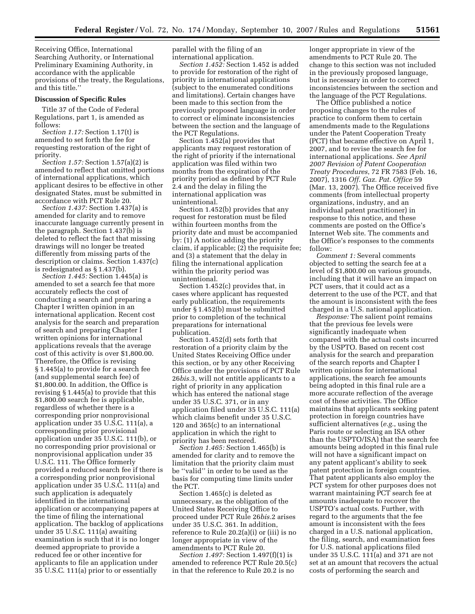Receiving Office, International Searching Authority, or International Preliminary Examining Authority, in accordance with the applicable provisions of the treaty, the Regulations, and this title.''

### **Discussion of Specific Rules**

Title 37 of the Code of Federal Regulations, part 1, is amended as follows:

*Section 1.17:* Section 1.17(t) is amended to set forth the fee for requesting restoration of the right of priority.

*Section 1.57:* Section 1.57(a)(2) is amended to reflect that omitted portions of international applications, which applicant desires to be effective in other designated States, must be submitted in accordance with PCT Rule 20.

*Section 1.437:* Section 1.437(a) is amended for clarity and to remove inaccurate language currently present in the paragraph. Section 1.437(b) is deleted to reflect the fact that missing drawings will no longer be treated differently from missing parts of the description or claims. Section 1.437(c) is redesignated as § 1.437(b).

*Section 1.445:* Section 1.445(a) is amended to set a search fee that more accurately reflects the cost of conducting a search and preparing a Chapter I written opinion in an international application. Recent cost analysis for the search and preparation of search and preparing Chapter I written opinions for international applications reveals that the average cost of this activity is over \$1,800.00. Therefore, the Office is revising § 1.445(a) to provide for a search fee (and supplemental search fee) of \$1,800.00. In addition, the Office is revising § 1.445(a) to provide that this \$1,800.00 search fee is applicable, regardless of whether there is a corresponding prior nonprovisional application under 35 U.S.C. 111(a), a corresponding prior provisional application under 35 U.S.C. 111(b), or no corresponding prior provisional or nonprovisional application under 35 U.S.C. 111. The Office formerly provided a reduced search fee if there is a corresponding prior nonprovisional application under 35 U.S.C. 111(a) and such application is adequately identified in the international application or accompanying papers at the time of filing the international application. The backlog of applications under 35 U.S.C. 111(a) awaiting examination is such that it is no longer deemed appropriate to provide a reduced fee or other incentive for applicants to file an application under 35 U.S.C. 111(a) prior to or essentially

parallel with the filing of an international application.

*Section 1.452:* Section 1.452 is added to provide for restoration of the right of priority in international applications (subject to the enumerated conditions and limitations). Certain changes have been made to this section from the previously proposed language in order to correct or eliminate inconsistencies between the section and the language of the PCT Regulations.

Section 1.452(a) provides that applicants may request restoration of the right of priority if the international application was filed within two months from the expiration of the priority period as defined by PCT Rule 2.4 and the delay in filing the international application was unintentional.

Section 1.452(b) provides that any request for restoration must be filed within fourteen months from the priority date and must be accompanied by: (1) A notice adding the priority claim, if applicable; (2) the requisite fee; and (3) a statement that the delay in filing the international application within the priority period was unintentional.

Section 1.452(c) provides that, in cases where applicant has requested early publication, the requirements under § 1.452(b) must be submitted prior to completion of the technical preparations for international publication.

Section 1.452(d) sets forth that restoration of a priority claim by the United States Receiving Office under this section, or by any other Receiving Office under the provisions of PCT Rule 26*bis.*3, will not entitle applicants to a right of priority in any application which has entered the national stage under 35 U.S.C. 371, or in any application filed under 35 U.S.C. 111(a) which claims benefit under 35 U.S.C. 120 and 365(c) to an international application in which the right to priority has been restored.

*Section 1.465:* Section 1.465(b) is amended for clarity and to remove the limitation that the priority claim must be ''valid'' in order to be used as the basis for computing time limits under the PCT.

Section 1.465(c) is deleted as unnecessary, as the obligation of the United States Receiving Office to proceed under PCT Rule 26*bis.*2 arises under 35 U.S.C. 361. In addition, reference to Rule 20.2(a)(i) or (iii) is no longer appropriate in view of the amendments to PCT Rule 20.

*Section 1.497:* Section 1.497(f)(1) is amended to reference PCT Rule 20.5(c) in that the reference to Rule 20.2 is no

longer appropriate in view of the amendments to PCT Rule 20. The change to this section was not included in the previously proposed language, but is necessary in order to correct inconsistencies between the section and the language of the PCT Regulations.

The Office published a notice proposing changes to the rules of practice to conform them to certain amendments made to the Regulations under the Patent Cooperation Treaty (PCT) that became effective on April 1, 2007, and to revise the search fee for international applications. *See April 2007 Revision of Patent Cooperation Treaty Procedures*, 72 FR 7583 (Feb. 16, 2007), 1316 *Off. Gaz. Pat. Office* 59 (Mar. 13, 2007). The Office received five comments (from intellectual property organizations, industry, and an individual patent practitioner) in response to this notice, and these comments are posted on the Office's Internet Web site. The comments and the Office's responses to the comments follow:

*Comment 1:* Several comments objected to setting the search fee at a level of \$1,800.00 on various grounds, including that it will have an impact on PCT users, that it could act as a deterrent to the use of the PCT, and that the amount is inconsistent with the fees charged in a U.S. national application.

*Response:* The salient point remains that the previous fee levels were significantly inadequate when compared with the actual costs incurred by the USPTO. Based on recent cost analysis for the search and preparation of the search reports and Chapter I written opinions for international applications, the search fee amounts being adopted in this final rule are a more accurate reflection of the average cost of these activities. The Office maintains that applicants seeking patent protection in foreign countries have sufficient alternatives (*e.g.*, using the Paris route or selecting an ISA other than the USPTO/ISA) that the search fee amounts being adopted in this final rule will not have a significant impact on any patent applicant's ability to seek patent protection in foreign countries. That patent applicants also employ the PCT system for other purposes does not warrant maintaining PCT search fee at amounts inadequate to recover the USPTO's actual costs. Further, with regard to the arguments that the fee amount is inconsistent with the fees charged in a U.S. national application, the filing, search, and examination fees for U.S. national applications filed under 35 U.S.C. 111(a) and 371 are not set at an amount that recovers the actual costs of performing the search and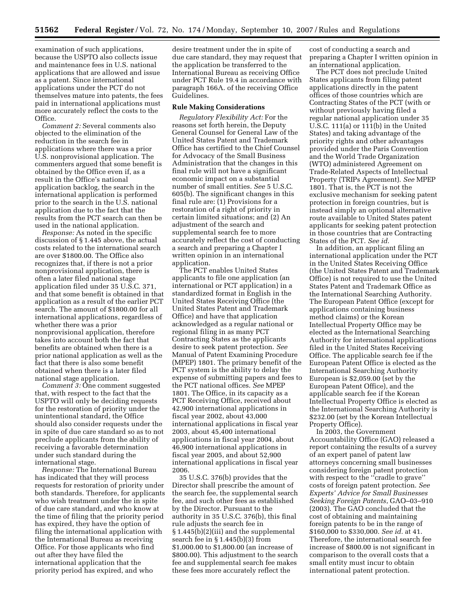examination of such applications, because the USPTO also collects issue and maintenance fees in U.S. national applications that are allowed and issue as a patent. Since international applications under the PCT do not themselves mature into patents, the fees paid in international applications must more accurately reflect the costs to the Office.

*Comment 2:* Several comments also objected to the elimination of the reduction in the search fee in applications where there was a prior U.S. nonprovisional application. The commenters argued that some benefit is obtained by the Office even if, as a result in the Office's national application backlog, the search in the international application is performed prior to the search in the U.S. national application due to the fact that the results from the PCT search can then be used in the national application.

*Response:* As noted in the specific discussion of § 1.445 above, the actual costs related to the international search are over \$1800.00. The Office also recognizes that, if there is not a prior nonprovisional application, there is often a later filed national stage application filed under 35 U.S.C. 371, and that some benefit is obtained in that application as a result of the earlier PCT search. The amount of \$1800.00 for all international applications, regardless of whether there was a prior nonprovisional application, therefore takes into account both the fact that benefits are obtained when there is a prior national application as well as the fact that there is also some benefit obtained when there is a later filed national stage application.

*Comment 3:* One comment suggested that, with respect to the fact that the USPTO will only be deciding requests for the restoration of priority under the unintentional standard, the Office should also consider requests under the in spite of due care standard so as to not preclude applicants from the ability of receiving a favorable determination under such standard during the international stage.

*Response:* The International Bureau has indicated that they will process requests for restoration of priority under both standards. Therefore, for applicants who wish treatment under the in spite of due care standard, and who know at the time of filing that the priority period has expired, they have the option of filing the international application with the International Bureau as receiving Office. For those applicants who find out after they have filed the international application that the priority period has expired, and who

desire treatment under the in spite of due care standard, they may request that the application be transferred to the International Bureau as receiving Office under PCT Rule 19.4 in accordance with paragraph 166A. of the receiving Office Guidelines.

# **Rule Making Considerations**

*Regulatory Flexibility Act:* For the reasons set forth herein, the Deputy General Counsel for General Law of the United States Patent and Trademark Office has certified to the Chief Counsel for Advocacy of the Small Business Administration that the changes in this final rule will not have a significant economic impact on a substantial number of small entities. *See* 5 U.S.C. 605(b). The significant changes in this final rule are: (1) Provisions for a restoration of a right of priority in certain limited situations; and (2) An adjustment of the search and supplemental search fee to more accurately reflect the cost of conducting a search and preparing a Chapter I written opinion in an international application.

The PCT enables United States applicants to file one application (an international or PCT application) in a standardized format in English in the United States Receiving Office (the United States Patent and Trademark Office) and have that application acknowledged as a regular national or regional filing in as many PCT Contracting States as the applicants desire to seek patent protection. *See*  Manual of Patent Examining Procedure (MPEP) 1801. The primary benefit of the PCT system is the ability to delay the expense of submitting papers and fees to the PCT national offices. *See* MPEP 1801. The Office, in its capacity as a PCT Receiving Office, received about 42,900 international applications in fiscal year 2002, about 43,000 international applications in fiscal year 2003, about 45,400 international applications in fiscal year 2004, about 46,900 international applications in fiscal year 2005, and about 52,900 international applications in fiscal year 2006.

35 U.S.C. 376(b) provides that the Director shall prescribe the amount of the search fee, the supplemental search fee, and such other fees as established by the Director. Pursuant to the authority in 35 U.S.C. 376(b), this final rule adjusts the search fee in § 1.445(b)(2)(iii) and the supplemental search fee in § 1.445(b)(3) from \$1,000.00 to \$1,800.00 (an increase of \$800.00). This adjustment to the search fee and supplemental search fee makes these fees more accurately reflect the

cost of conducting a search and preparing a Chapter I written opinion in an international application.

The PCT does not preclude United States applicants from filing patent applications directly in the patent offices of those countries which are Contracting States of the PCT (with or without previously having filed a regular national application under 35 U.S.C. 111(a) or 111(b) in the United States) and taking advantage of the priority rights and other advantages provided under the Paris Convention and the World Trade Organization (WTO) administered Agreement on Trade-Related Aspects of Intellectual Property (TRIPs Agreement). *See* MPEP 1801. That is, the PCT is not the exclusive mechanism for seeking patent protection in foreign countries, but is instead simply an optional alternative route available to United States patent applicants for seeking patent protection in those countries that are Contracting States of the PCT. *See id*.

In addition, an applicant filing an international application under the PCT in the United States Receiving Office (the United States Patent and Trademark Office) is not required to use the United States Patent and Trademark Office as the International Searching Authority. The European Patent Office (except for applications containing business method claims) or the Korean Intellectual Property Office may be elected as the International Searching Authority for international applications filed in the United States Receiving Office. The applicable search fee if the European Patent Office is elected as the International Searching Authority European is \$2,059.00 (set by the European Patent Office), and the applicable search fee if the Korean Intellectual Property Office is elected as the International Searching Authority is \$232.00 (set by the Korean Intellectual Property Office).

In 2003, the Government Accountability Office (GAO) released a report containing the results of a survey of an expert panel of patent law attorneys concerning small businesses considering foreign patent protection with respect to the ''cradle to grave'' costs of foreign patent protection. *See Experts' Advice for Small Businesses Seeking Foreign Patents*, GAO–03–910 (2003). The GAO concluded that the cost of obtaining and maintaining foreign patents to be in the range of \$160,000 to \$330,000. *See id.* at 41. Therefore, the international search fee increase of \$800.00 is not significant in comparison to the overall costs that a small entity must incur to obtain international patent protection.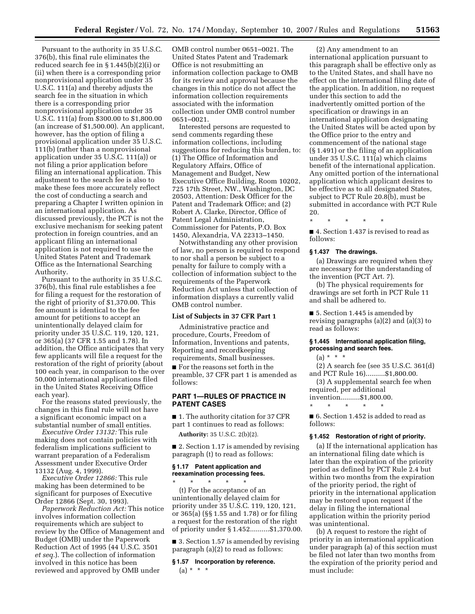Pursuant to the authority in 35 U.S.C. 376(b), this final rule eliminates the reduced search fee in § 1.445(b)(2)(i) or (ii) when there is a corresponding prior nonprovisional application under 35 U.S.C. 111(a) and thereby adjusts the search fee in the situation in which there is a corresponding prior nonprovisional application under 35 U.S.C. 111(a) from \$300.00 to \$1,800.00 (an increase of \$1,500.00). An applicant, however, has the option of filing a provisional application under 35 U.S.C. 111(b) (rather than a nonprovisional application under 35 U.S.C. 111(a)) or not filing a prior application before filing an international application. This adjustment to the search fee is also to make these fees more accurately reflect the cost of conducting a search and preparing a Chapter I written opinion in an international application. As discussed previously, the PCT is not the exclusive mechanism for seeking patent protection in foreign countries, and an applicant filing an international application is not required to use the United States Patent and Trademark Office as the International Searching Authority.

Pursuant to the authority in 35 U.S.C. 376(b), this final rule establishes a fee for filing a request for the restoration of the right of priority of \$1,370.00. This fee amount is identical to the fee amount for petitions to accept an unintentionally delayed claim for priority under 35 U.S.C. 119, 120, 121, or 365(a) (37 CFR 1.55 and 1.78). In addition, the Office anticipates that very few applicants will file a request for the restoration of the right of priority (about 100 each year, in comparison to the over 50,000 international applications filed in the United States Receiving Office each year).

For the reasons stated previously, the changes in this final rule will not have a significant economic impact on a substantial number of small entities.

*Executive Order 13132:* This rule making does not contain policies with federalism implications sufficient to warrant preparation of a Federalism Assessment under Executive Order 13132 (Aug. 4, 1999).

*Executive Order 12866:* This rule making has been determined to be significant for purposes of Executive Order 12866 (Sept. 30, 1993).

*Paperwork Reduction Act:* This notice involves information collection requirements which are subject to review by the Office of Management and Budget (OMB) under the Paperwork Reduction Act of 1995 (44 U.S.C. 3501 *et seq.*). The collection of information involved in this notice has been reviewed and approved by OMB under

OMB control number 0651–0021. The United States Patent and Trademark Office is not resubmitting an information collection package to OMB for its review and approval because the changes in this notice do not affect the information collection requirements associated with the information collection under OMB control number 0651–0021.

Interested persons are requested to send comments regarding these information collections, including suggestions for reducing this burden, to: (1) The Office of Information and Regulatory Affairs, Office of Management and Budget, New Executive Office Building, Room 10202, 725 17th Street, NW., Washington, DC 20503, Attention: Desk Officer for the Patent and Trademark Office; and (2) Robert A. Clarke, Director, Office of Patent Legal Administration, Commissioner for Patents, P.O. Box 1450, Alexandria, VA 22313–1450.

Notwithstanding any other provision of law, no person is required to respond to nor shall a person be subject to a penalty for failure to comply with a collection of information subject to the requirements of the Paperwork Reduction Act unless that collection of information displays a currently valid OMB control number.

#### **List of Subjects in 37 CFR Part 1**

Administrative practice and procedure, Courts, Freedom of Information, Inventions and patents, Reporting and recordkeeping requirements, Small businesses.

■ For the reasons set forth in the preamble, 37 CFR part 1 is amended as follows:

## **PART 1—RULES OF PRACTICE IN PATENT CASES**

■ 1. The authority citation for 37 CFR part 1 continues to read as follows:

**Authority:** 35 U.S.C. 2(b)(2).

■ 2. Section 1.17 is amended by revising paragraph (t) to read as follows:

## **§ 1.17 Patent application and reexamination processing fees.**

\* \* \* \* \* (t) For the acceptance of an unintentionally delayed claim for priority under 35 U.S.C. 119, 120, 121, or 365(a) (§§ 1.55 and 1.78) or for filing a request for the restoration of the right of priority under § 1.452..........\$1,370.00.

■ 3. Section 1.57 is amended by revising paragraph (a)(2) to read as follows:

## **§ 1.57 Incorporation by reference.**   $(a) * * * *$

(2) Any amendment to an international application pursuant to this paragraph shall be effective only as to the United States, and shall have no effect on the international filing date of the application. In addition, no request under this section to add the inadvertently omitted portion of the specification or drawings in an international application designating the United States will be acted upon by the Office prior to the entry and commencement of the national stage (§ 1.491) or the filing of an application under 35 U.S.C. 111(a) which claims benefit of the international application. Any omitted portion of the international application which applicant desires to be effective as to all designated States, subject to PCT Rule 20.8(b), must be submitted in accordance with PCT Rule 20.

■ 4. Section 1.437 is revised to read as follows:

## **§ 1.437 The drawings.**

\* \* \* \* \*

(a) Drawings are required when they are necessary for the understanding of the invention (PCT Art. 7).

(b) The physical requirements for drawings are set forth in PCT Rule 11 and shall be adhered to.

■ 5. Section 1.445 is amended by revising paragraphs (a)(2) and (a)(3) to read as follows:

## **§ 1.445 International application filing, processing and search fees.**

 $(a) * * * *$ 

(2) A search fee (see 35 U.S.C. 361(d) and PCT Rule 16)..........\$1,800.00.

(3) A supplemental search fee when required, per additional

invention..........\$1,800.00. \* \* \* \* \*

■ 6. Section 1.452 is added to read as follows:

## **§ 1.452 Restoration of right of priority.**

(a) If the international application has an international filing date which is later than the expiration of the priority period as defined by PCT Rule 2.4 but within two months from the expiration of the priority period, the right of priority in the international application may be restored upon request if the delay in filing the international application within the priority period was unintentional.

(b) A request to restore the right of priority in an international application under paragraph (a) of this section must be filed not later than two months from the expiration of the priority period and must include: